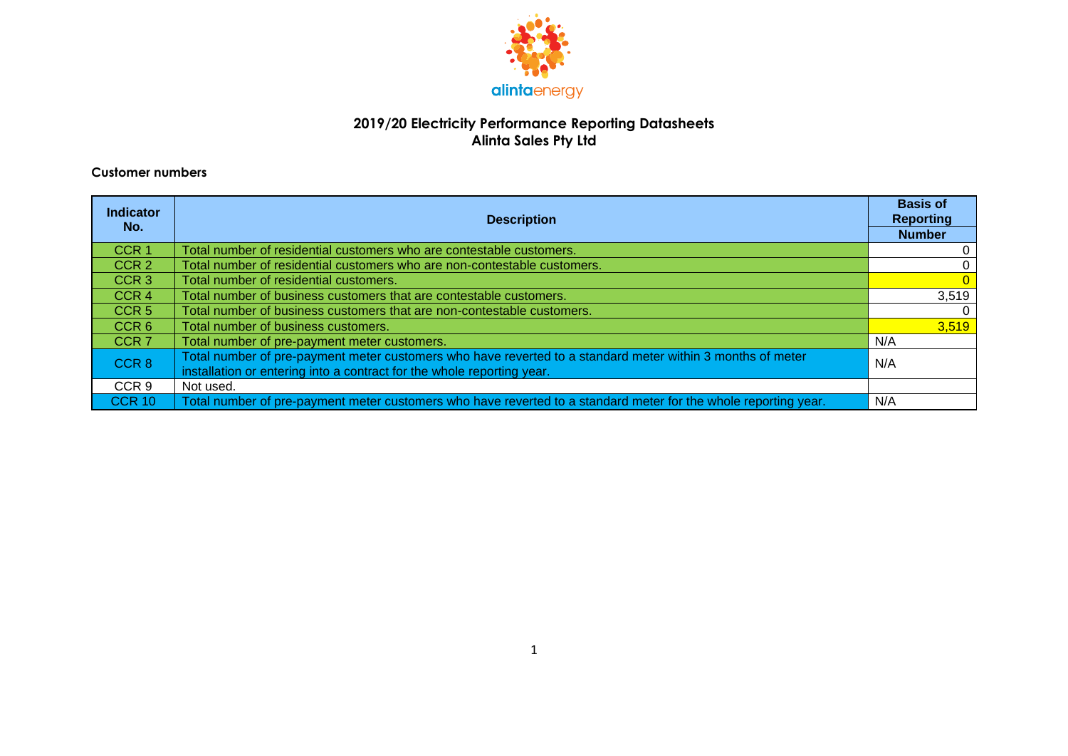

#### **2019/20 Electricity Performance Reporting Datasheets Alinta Sales Pty Ltd**

#### **Customer numbers**

| <b>Indicator</b><br>No. | <b>Description</b>                                                                                                                                                                   | <b>Basis of</b><br><b>Reporting</b> |
|-------------------------|--------------------------------------------------------------------------------------------------------------------------------------------------------------------------------------|-------------------------------------|
|                         |                                                                                                                                                                                      | <b>Number</b>                       |
| CCR <sub>1</sub>        | Total number of residential customers who are contestable customers.                                                                                                                 |                                     |
| CCR <sub>2</sub>        | Total number of residential customers who are non-contestable customers.                                                                                                             | $\mathbf 0$                         |
| CCR <sub>3</sub>        | Total number of residential customers.                                                                                                                                               |                                     |
| CCR <sub>4</sub>        | Total number of business customers that are contestable customers.                                                                                                                   | 3,519                               |
| CCR <sub>5</sub>        | Total number of business customers that are non-contestable customers.                                                                                                               | $\Omega$                            |
| CCR6                    | Total number of business customers.                                                                                                                                                  | 3,519                               |
| CCR <sub>7</sub>        | Total number of pre-payment meter customers.                                                                                                                                         | N/A                                 |
| CCR <sub>8</sub>        | Total number of pre-payment meter customers who have reverted to a standard meter within 3 months of meter<br>installation or entering into a contract for the whole reporting year. | N/A                                 |
| CCR 9                   | Not used.                                                                                                                                                                            |                                     |
| <b>CCR 10</b>           | Total number of pre-payment meter customers who have reverted to a standard meter for the whole reporting year.                                                                      | N/A                                 |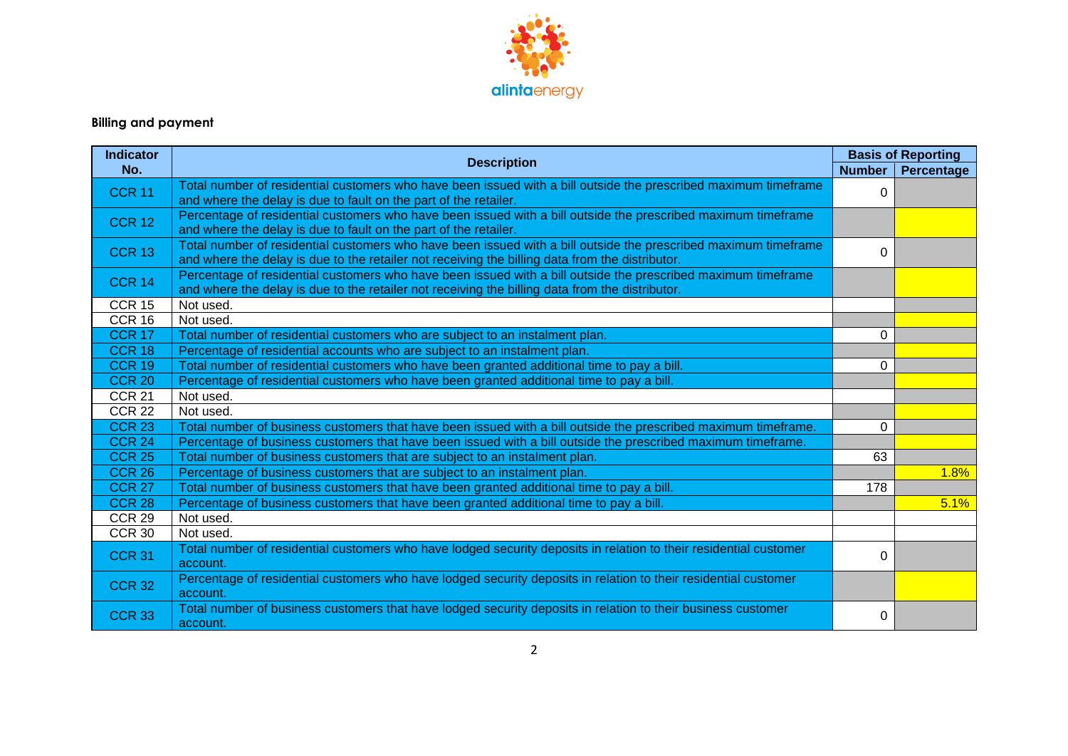

# **Billing and payment**

| <b>Indicator</b> |                                                                                                                                                                                                                    | <b>Basis of Reporting</b> |                   |
|------------------|--------------------------------------------------------------------------------------------------------------------------------------------------------------------------------------------------------------------|---------------------------|-------------------|
| No.              | <b>Description</b>                                                                                                                                                                                                 | <b>Number</b>             | <b>Percentage</b> |
| <b>CCR 11</b>    | Total number of residential customers who have been issued with a bill outside the prescribed maximum timeframe<br>and where the delay is due to fault on the part of the retailer.                                | $\Omega$                  |                   |
| <b>CCR 12</b>    | Percentage of residential customers who have been issued with a bill outside the prescribed maximum timeframe<br>and where the delay is due to fault on the part of the retailer.                                  |                           |                   |
| <b>CCR 13</b>    | Total number of residential customers who have been issued with a bill outside the prescribed maximum timeframe<br>and where the delay is due to the retailer not receiving the billing data from the distributor. | $\Omega$                  |                   |
| <b>CCR 14</b>    | Percentage of residential customers who have been issued with a bill outside the prescribed maximum timeframe<br>and where the delay is due to the retailer not receiving the billing data from the distributor.   |                           |                   |
| <b>CCR 15</b>    | Not used.                                                                                                                                                                                                          |                           |                   |
| CCR 16           | Not used.                                                                                                                                                                                                          |                           |                   |
| <b>CCR 17</b>    | Total number of residential customers who are subject to an instalment plan.                                                                                                                                       | $\Omega$                  |                   |
| <b>CCR 18</b>    | Percentage of residential accounts who are subject to an instalment plan.                                                                                                                                          |                           |                   |
| <b>CCR 19</b>    | Total number of residential customers who have been granted additional time to pay a bill.                                                                                                                         | $\Omega$                  |                   |
| <b>CCR 20</b>    | Percentage of residential customers who have been granted additional time to pay a bill.                                                                                                                           |                           |                   |
| <b>CCR 21</b>    | Not used.                                                                                                                                                                                                          |                           |                   |
| <b>CCR 22</b>    | Not used.                                                                                                                                                                                                          |                           |                   |
| <b>CCR 23</b>    | Total number of business customers that have been issued with a bill outside the prescribed maximum timeframe.                                                                                                     | $\Omega$                  |                   |
| <b>CCR 24</b>    | Percentage of business customers that have been issued with a bill outside the prescribed maximum timeframe.                                                                                                       |                           |                   |
| <b>CCR 25</b>    | Total number of business customers that are subject to an instalment plan.                                                                                                                                         | 63                        |                   |
| <b>CCR 26</b>    | Percentage of business customers that are subject to an instalment plan.                                                                                                                                           |                           | 1.8%              |
| <b>CCR 27</b>    | Total number of business customers that have been granted additional time to pay a bill.                                                                                                                           | 178                       |                   |
| <b>CCR 28</b>    | Percentage of business customers that have been granted additional time to pay a bill.                                                                                                                             |                           | 5.1%              |
| <b>CCR 29</b>    | Not used.                                                                                                                                                                                                          |                           |                   |
| <b>CCR 30</b>    | Not used.                                                                                                                                                                                                          |                           |                   |
| <b>CCR 31</b>    | Total number of residential customers who have lodged security deposits in relation to their residential customer<br>account.                                                                                      | $\Omega$                  |                   |
| <b>CCR 32</b>    | Percentage of residential customers who have lodged security deposits in relation to their residential customer<br>account.                                                                                        |                           |                   |
| <b>CCR 33</b>    | Total number of business customers that have lodged security deposits in relation to their business customer<br>account.                                                                                           | 0                         |                   |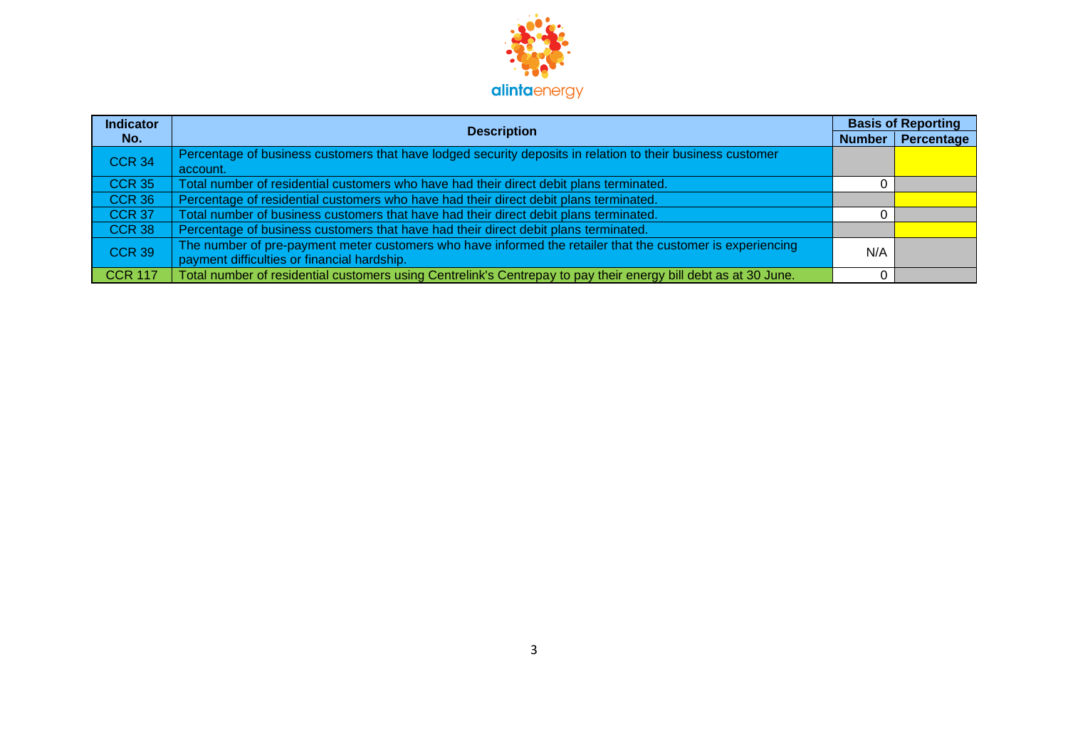

| <b>Indicator</b> |                                                                                                                 | <b>Basis of Reporting</b> |            |
|------------------|-----------------------------------------------------------------------------------------------------------------|---------------------------|------------|
| No.              | <b>Description</b>                                                                                              | <b>Number</b>             | Percentage |
| <b>CCR 34</b>    | Percentage of business customers that have lodged security deposits in relation to their business customer      |                           |            |
|                  | account.                                                                                                        |                           |            |
| <b>CCR 35</b>    | Total number of residential customers who have had their direct debit plans terminated.                         |                           |            |
| <b>CCR 36</b>    | Percentage of residential customers who have had their direct debit plans terminated.                           |                           |            |
| <b>CCR 37</b>    | Total number of business customers that have had their direct debit plans terminated.                           |                           |            |
| <b>CCR 38</b>    | Percentage of business customers that have had their direct debit plans terminated.                             |                           |            |
| <b>CCR 39</b>    | The number of pre-payment meter customers who have informed the retailer that the customer is experiencing      | N/A                       |            |
|                  | payment difficulties or financial hardship.                                                                     |                           |            |
| <b>CCR 117</b>   | Total number of residential customers using Centrelink's Centrepay to pay their energy bill debt as at 30 June. |                           |            |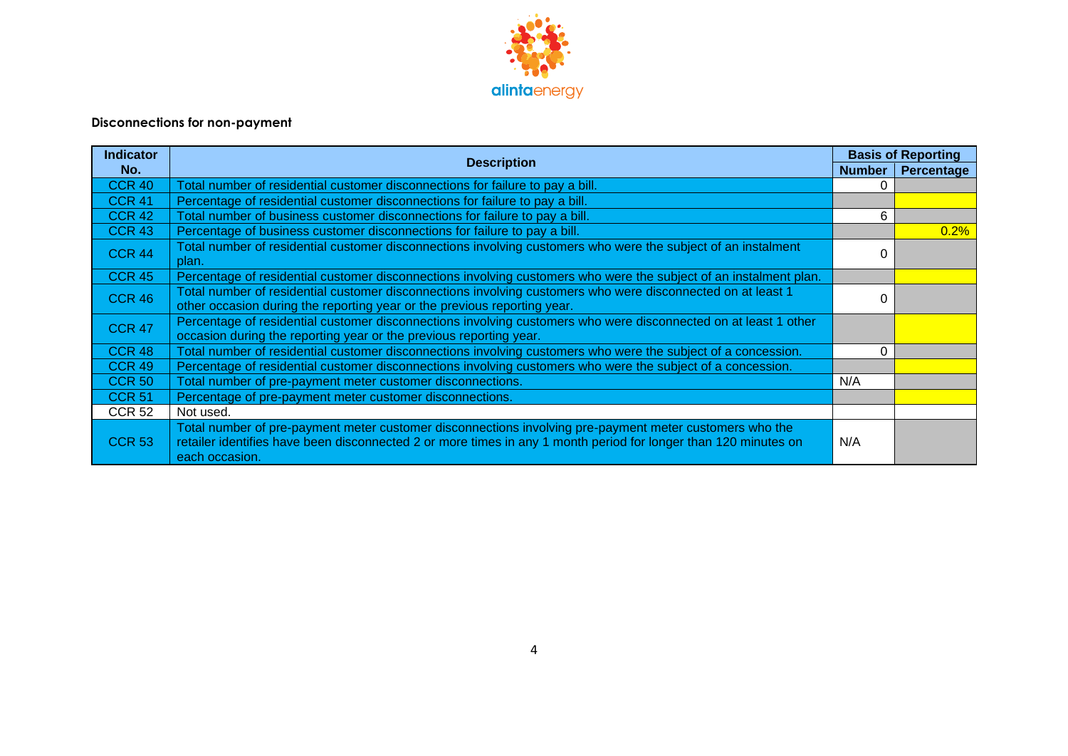

## **Disconnections for non-payment**

| <b>Indicator</b> | <b>Description</b>                                                                                                                                                                                                                           |               | <b>Basis of Reporting</b> |
|------------------|----------------------------------------------------------------------------------------------------------------------------------------------------------------------------------------------------------------------------------------------|---------------|---------------------------|
| No.              |                                                                                                                                                                                                                                              | <b>Number</b> | Percentage                |
| <b>CCR 40</b>    | Total number of residential customer disconnections for failure to pay a bill.                                                                                                                                                               | 0             |                           |
| <b>CCR 41</b>    | Percentage of residential customer disconnections for failure to pay a bill.                                                                                                                                                                 |               |                           |
| <b>CCR 42</b>    | Total number of business customer disconnections for failure to pay a bill.                                                                                                                                                                  | 6             |                           |
| <b>CCR 43</b>    | Percentage of business customer disconnections for failure to pay a bill.                                                                                                                                                                    |               | 0.2%                      |
| <b>CCR 44</b>    | Total number of residential customer disconnections involving customers who were the subject of an instalment<br>plan.                                                                                                                       | 0             |                           |
| <b>CCR 45</b>    | Percentage of residential customer disconnections involving customers who were the subject of an instalment plan.                                                                                                                            |               |                           |
| <b>CCR 46</b>    | Total number of residential customer disconnections involving customers who were disconnected on at least 1<br>other occasion during the reporting year or the previous reporting year.                                                      | $\Omega$      |                           |
| <b>CCR 47</b>    | Percentage of residential customer disconnections involving customers who were disconnected on at least 1 other<br>occasion during the reporting year or the previous reporting year.                                                        |               |                           |
| <b>CCR 48</b>    | Total number of residential customer disconnections involving customers who were the subject of a concession.                                                                                                                                | $\Omega$      |                           |
| <b>CCR 49</b>    | Percentage of residential customer disconnections involving customers who were the subject of a concession.                                                                                                                                  |               |                           |
| <b>CCR 50</b>    | Total number of pre-payment meter customer disconnections.                                                                                                                                                                                   | N/A           |                           |
| <b>CCR 51</b>    | Percentage of pre-payment meter customer disconnections.                                                                                                                                                                                     |               |                           |
| <b>CCR 52</b>    | Not used.                                                                                                                                                                                                                                    |               |                           |
| <b>CCR 53</b>    | Total number of pre-payment meter customer disconnections involving pre-payment meter customers who the<br>retailer identifies have been disconnected 2 or more times in any 1 month period for longer than 120 minutes on<br>each occasion. | N/A           |                           |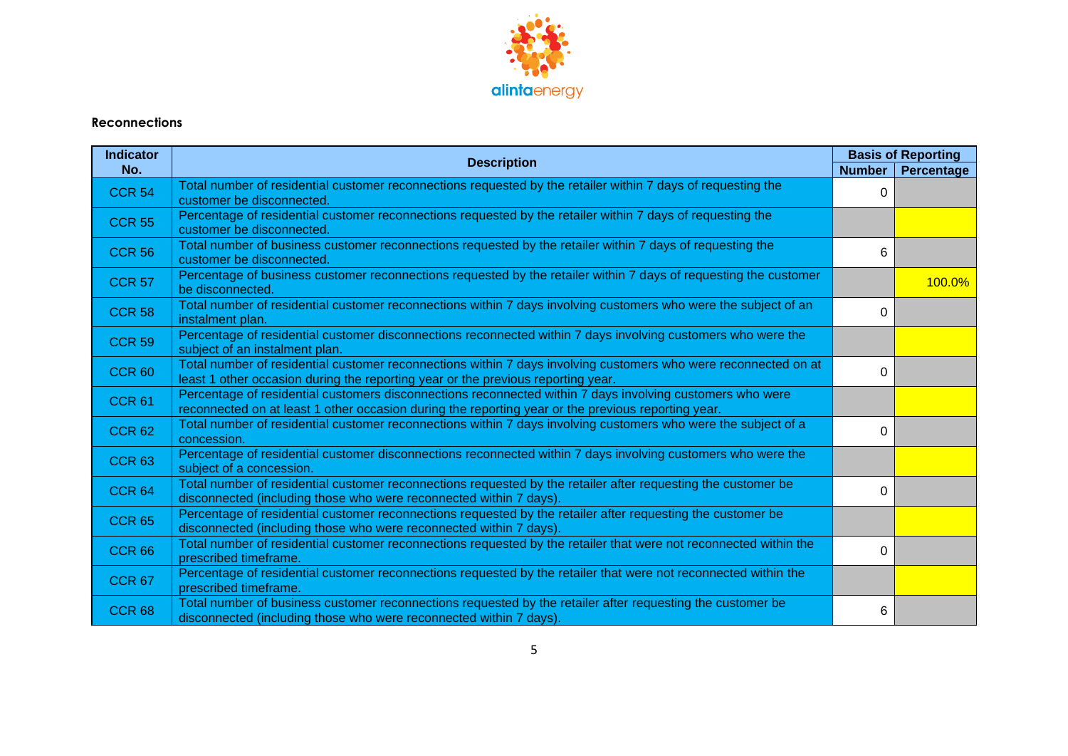

#### **Reconnections**

| <b>Indicator</b> |                                                                                                                                                                                                                 |               | <b>Basis of Reporting</b> |
|------------------|-----------------------------------------------------------------------------------------------------------------------------------------------------------------------------------------------------------------|---------------|---------------------------|
| No.              | <b>Description</b>                                                                                                                                                                                              | <b>Number</b> | Percentage                |
| <b>CCR 54</b>    | Total number of residential customer reconnections requested by the retailer within 7 days of requesting the<br>customer be disconnected.                                                                       | $\Omega$      |                           |
| <b>CCR 55</b>    | Percentage of residential customer reconnections requested by the retailer within 7 days of requesting the<br>customer be disconnected.                                                                         |               |                           |
| <b>CCR 56</b>    | Total number of business customer reconnections requested by the retailer within 7 days of requesting the<br>customer be disconnected.                                                                          | 6             |                           |
| <b>CCR 57</b>    | Percentage of business customer reconnections requested by the retailer within 7 days of requesting the customer<br>be disconnected.                                                                            |               | 100.0%                    |
| <b>CCR 58</b>    | Total number of residential customer reconnections within 7 days involving customers who were the subject of an<br>instalment plan.                                                                             | $\Omega$      |                           |
| <b>CCR 59</b>    | Percentage of residential customer disconnections reconnected within 7 days involving customers who were the<br>subject of an instalment plan.                                                                  |               |                           |
| <b>CCR 60</b>    | Total number of residential customer reconnections within 7 days involving customers who were reconnected on at<br>least 1 other occasion during the reporting year or the previous reporting year.             | $\Omega$      |                           |
| <b>CCR 61</b>    | Percentage of residential customers disconnections reconnected within 7 days involving customers who were<br>reconnected on at least 1 other occasion during the reporting year or the previous reporting year. |               |                           |
| <b>CCR 62</b>    | Total number of residential customer reconnections within 7 days involving customers who were the subject of a<br>concession.                                                                                   | $\Omega$      |                           |
| <b>CCR 63</b>    | Percentage of residential customer disconnections reconnected within 7 days involving customers who were the<br>subject of a concession.                                                                        |               |                           |
| <b>CCR 64</b>    | Total number of residential customer reconnections requested by the retailer after requesting the customer be<br>disconnected (including those who were reconnected within 7 days).                             | $\Omega$      |                           |
| <b>CCR 65</b>    | Percentage of residential customer reconnections requested by the retailer after requesting the customer be<br>disconnected (including those who were reconnected within 7 days).                               |               |                           |
| <b>CCR 66</b>    | Total number of residential customer reconnections requested by the retailer that were not reconnected within the<br>prescribed timeframe.                                                                      | 0             |                           |
| <b>CCR 67</b>    | Percentage of residential customer reconnections requested by the retailer that were not reconnected within the<br>prescribed timeframe.                                                                        |               |                           |
| <b>CCR 68</b>    | Total number of business customer reconnections requested by the retailer after requesting the customer be<br>disconnected (including those who were reconnected within 7 days).                                | 6             |                           |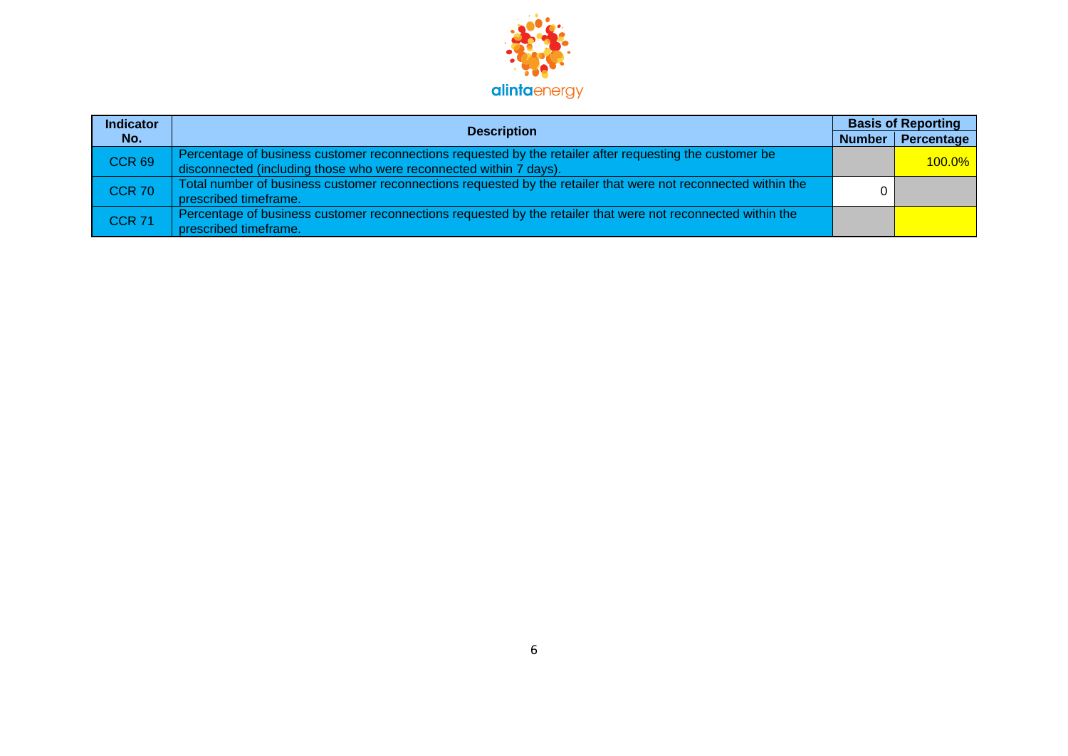

| <b>Indicator</b> | <b>Description</b>                                                                                                                                                             | <b>Basis of Reporting</b> |            |
|------------------|--------------------------------------------------------------------------------------------------------------------------------------------------------------------------------|---------------------------|------------|
| No.              |                                                                                                                                                                                | Number                    | Percentage |
| <b>CCR 69</b>    | Percentage of business customer reconnections requested by the retailer after requesting the customer be<br>disconnected (including those who were reconnected within 7 days). |                           | $100.0\%$  |
| <b>CCR 70</b>    | Total number of business customer reconnections requested by the retailer that were not reconnected within the<br>prescribed timeframe.                                        |                           |            |
| <b>CCR 71</b>    | Percentage of business customer reconnections requested by the retailer that were not reconnected within the<br>prescribed timeframe.                                          |                           |            |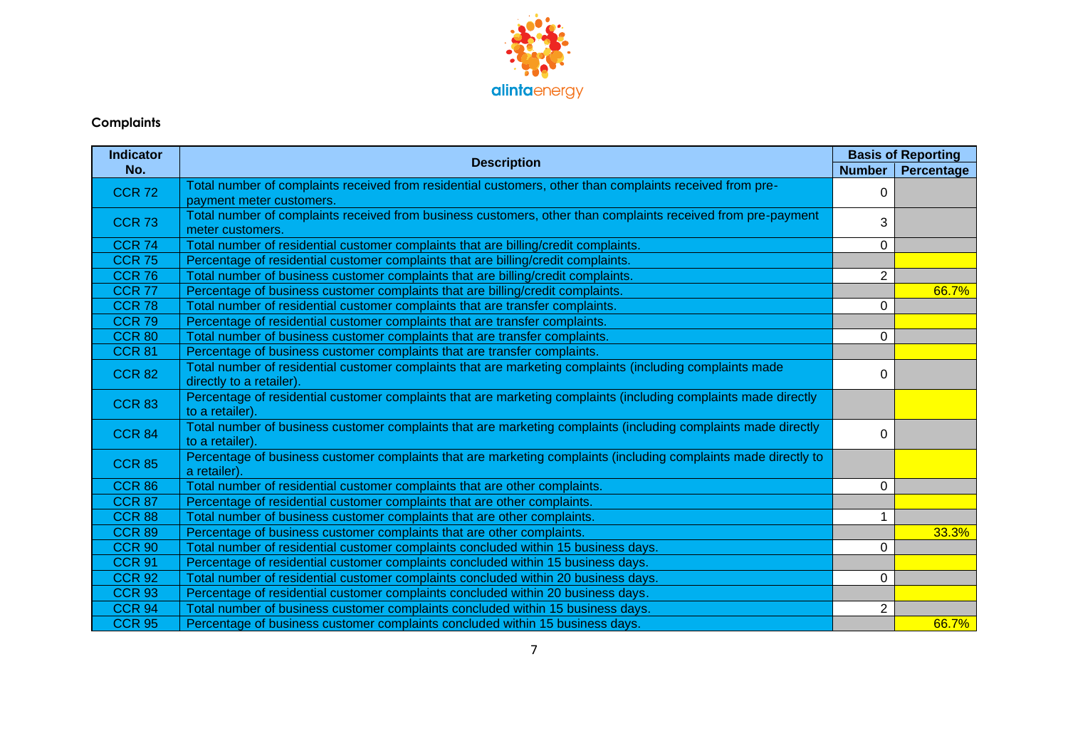

## **Complaints**

| <b>Indicator</b>  |                                                                                                                                      | <b>Basis of Reporting</b> |            |
|-------------------|--------------------------------------------------------------------------------------------------------------------------------------|---------------------------|------------|
| No.               | <b>Description</b>                                                                                                                   | <b>Number</b>             | Percentage |
| <b>CCR 72</b>     | Total number of complaints received from residential customers, other than complaints received from pre-                             | 0                         |            |
|                   | payment meter customers.                                                                                                             |                           |            |
| <b>CCR 73</b>     | Total number of complaints received from business customers, other than complaints received from pre-payment<br>meter customers.     | 3                         |            |
| <b>CCR 74</b>     | Total number of residential customer complaints that are billing/credit complaints.                                                  | $\Omega$                  |            |
| <b>CCR 75</b>     | Percentage of residential customer complaints that are billing/credit complaints.                                                    |                           |            |
| <b>CCR 76</b>     | Total number of business customer complaints that are billing/credit complaints.                                                     | $\overline{2}$            |            |
| <b>CCR 77</b>     | Percentage of business customer complaints that are billing/credit complaints.                                                       |                           | 66.7%      |
| CCR <sub>78</sub> | Total number of residential customer complaints that are transfer complaints.                                                        | $\Omega$                  |            |
| <b>CCR 79</b>     | Percentage of residential customer complaints that are transfer complaints.                                                          |                           |            |
| <b>CCR 80</b>     | Total number of business customer complaints that are transfer complaints.                                                           | $\Omega$                  |            |
| <b>CCR 81</b>     | Percentage of business customer complaints that are transfer complaints.                                                             |                           |            |
| <b>CCR 82</b>     | Total number of residential customer complaints that are marketing complaints (including complaints made<br>directly to a retailer). | $\Omega$                  |            |
| <b>CCR 83</b>     | Percentage of residential customer complaints that are marketing complaints (including complaints made directly<br>to a retailer).   |                           |            |
| <b>CCR 84</b>     | Total number of business customer complaints that are marketing complaints (including complaints made directly<br>to a retailer).    | $\Omega$                  |            |
| <b>CCR 85</b>     | Percentage of business customer complaints that are marketing complaints (including complaints made directly to<br>a retailer).      |                           |            |
| <b>CCR 86</b>     | Total number of residential customer complaints that are other complaints.                                                           | $\Omega$                  |            |
| <b>CCR 87</b>     | Percentage of residential customer complaints that are other complaints.                                                             |                           |            |
| <b>CCR 88</b>     | Total number of business customer complaints that are other complaints.                                                              |                           |            |
| <b>CCR 89</b>     | Percentage of business customer complaints that are other complaints.                                                                |                           | 33.3%      |
| <b>CCR 90</b>     | Total number of residential customer complaints concluded within 15 business days.                                                   | 0                         |            |
| <b>CCR 91</b>     | Percentage of residential customer complaints concluded within 15 business days.                                                     |                           |            |
| <b>CCR 92</b>     | Total number of residential customer complaints concluded within 20 business days.                                                   | $\Omega$                  |            |
| <b>CCR 93</b>     | Percentage of residential customer complaints concluded within 20 business days.                                                     |                           |            |
| <b>CCR 94</b>     | Total number of business customer complaints concluded within 15 business days.                                                      | 2                         |            |
| <b>CCR 95</b>     | Percentage of business customer complaints concluded within 15 business days.                                                        |                           | 66.7%      |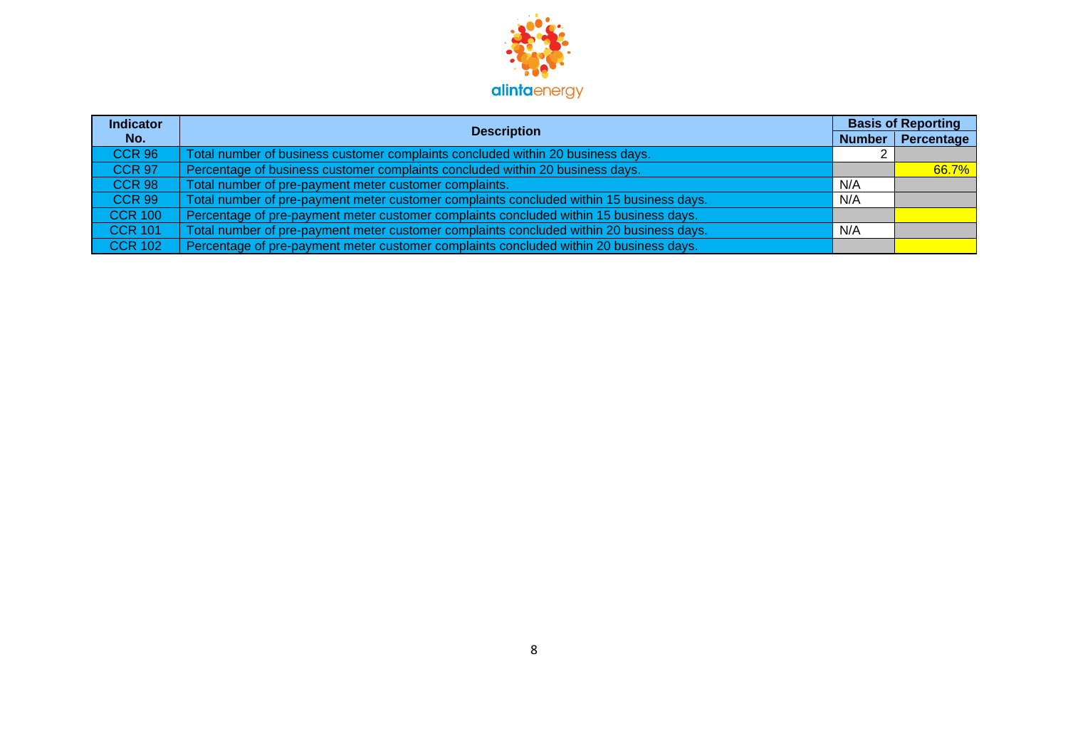

| <b>Indicator</b> | <b>Description</b>                                                                       | <b>Basis of Reporting</b> |                   |
|------------------|------------------------------------------------------------------------------------------|---------------------------|-------------------|
| No.              |                                                                                          | <b>Number</b>             | <b>Percentage</b> |
| <b>CCR 96</b>    | Total number of business customer complaints concluded within 20 business days.          |                           |                   |
| <b>CCR 97</b>    | Percentage of business customer complaints concluded within 20 business days.            |                           | 66.7%             |
| <b>CCR 98</b>    | Total number of pre-payment meter customer complaints.                                   | N/A                       |                   |
| <b>CCR 99</b>    | Total number of pre-payment meter customer complaints concluded within 15 business days. | N/A                       |                   |
| <b>CCR 100</b>   | Percentage of pre-payment meter customer complaints concluded within 15 business days.   |                           |                   |
| <b>CCR 101</b>   | Total number of pre-payment meter customer complaints concluded within 20 business days. | N/A                       |                   |
| <b>CCR 102</b>   | Percentage of pre-payment meter customer complaints concluded within 20 business days.   |                           |                   |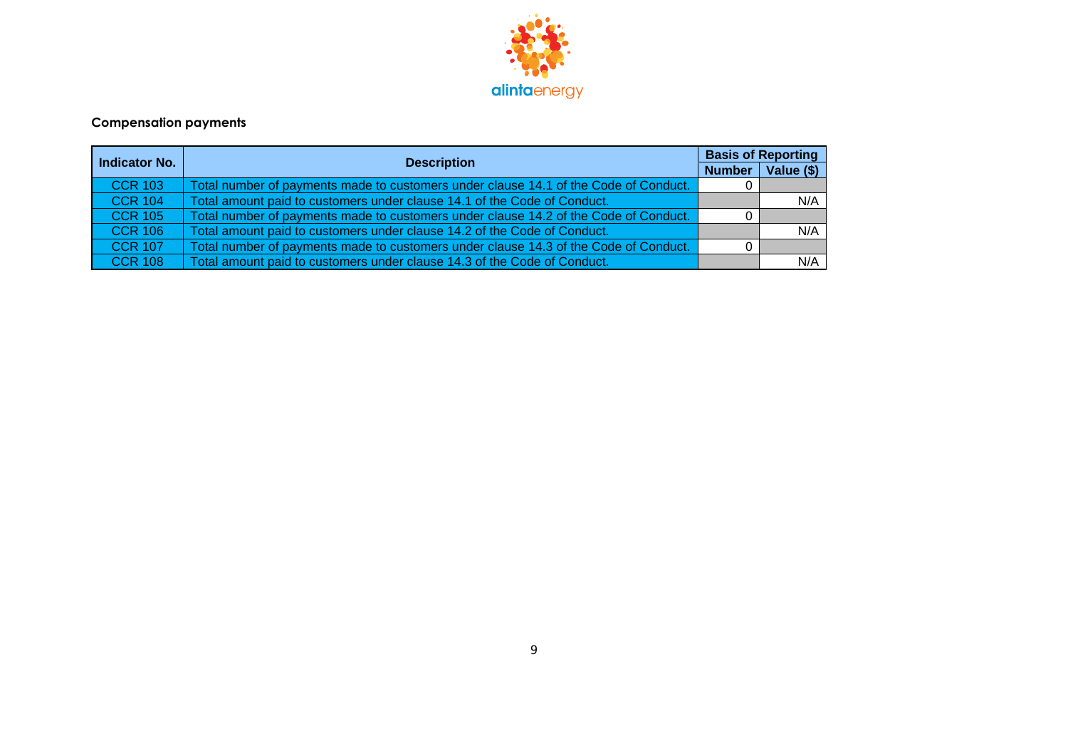

## **Compensation payments**

| Indicator No.   | <b>Description</b>                                                                   | <b>Basis of Reporting</b> |            |
|-----------------|--------------------------------------------------------------------------------------|---------------------------|------------|
|                 |                                                                                      | <b>Number</b>             | Value (\$) |
| <b>CCR 103</b>  | Total number of payments made to customers under clause 14.1 of the Code of Conduct. |                           |            |
| $\vert$ CCR 104 | Total amount paid to customers under clause 14.1 of the Code of Conduct.             |                           | N/A        |
| $\vert$ CCR 105 | Total number of payments made to customers under clause 14.2 of the Code of Conduct. |                           |            |
| $\vert$ CCR 106 | Total amount paid to customers under clause 14.2 of the Code of Conduct.             |                           | N/A        |
| $\vert$ CCR 107 | Total number of payments made to customers under clause 14.3 of the Code of Conduct. |                           |            |
| $\vert$ CCR 108 | Total amount paid to customers under clause 14.3 of the Code of Conduct.             |                           | N/A        |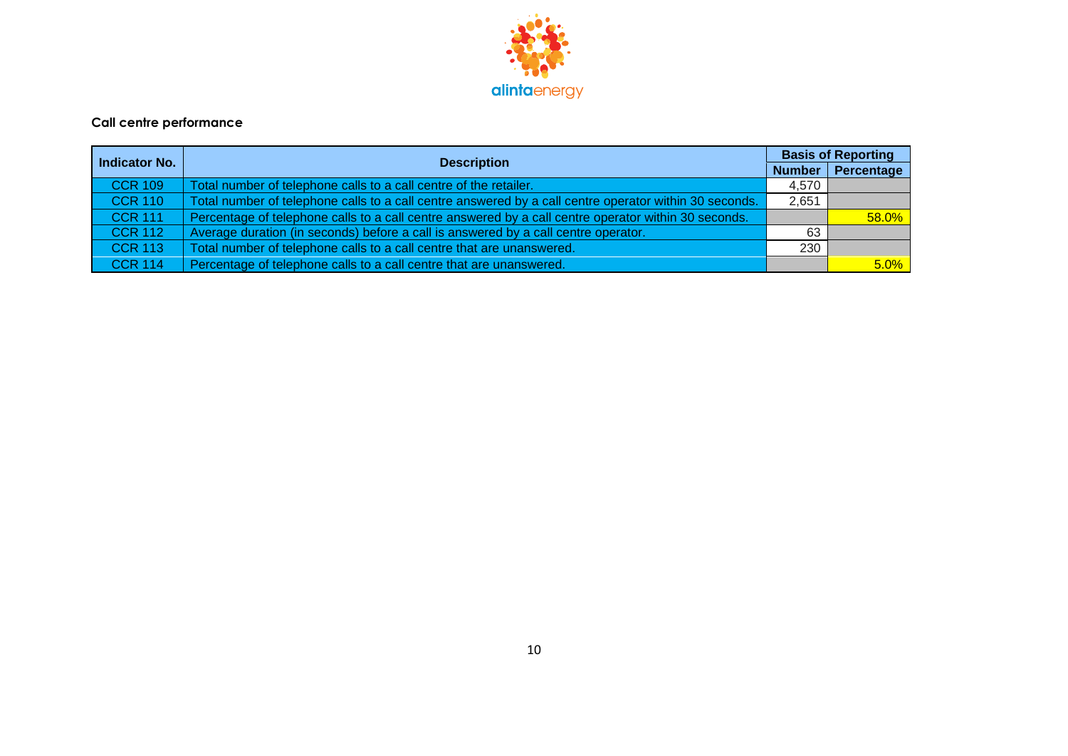

### **Call centre performance**

| <b>Indicator No.</b> |                                                                                                        | <b>Basis of Reporting</b> |              |
|----------------------|--------------------------------------------------------------------------------------------------------|---------------------------|--------------|
|                      | <b>Description</b>                                                                                     | <b>Number</b>             | Percentage   |
| <b>CCR 109</b>       | Total number of telephone calls to a call centre of the retailer.                                      | 4,570                     |              |
| <b>CCR 110</b>       | Total number of telephone calls to a call centre answered by a call centre operator within 30 seconds. | 2,651                     |              |
| <b>CCR 111</b>       | Percentage of telephone calls to a call centre answered by a call centre operator within 30 seconds.   |                           | <b>58.0%</b> |
| <b>CCR 112</b>       | Average duration (in seconds) before a call is answered by a call centre operator.                     | 63                        |              |
| <b>CCR 113</b>       | Total number of telephone calls to a call centre that are unanswered.                                  | 230                       |              |
| <b>CCR 114</b>       | Percentage of telephone calls to a call centre that are unanswered.                                    |                           | 5.0%         |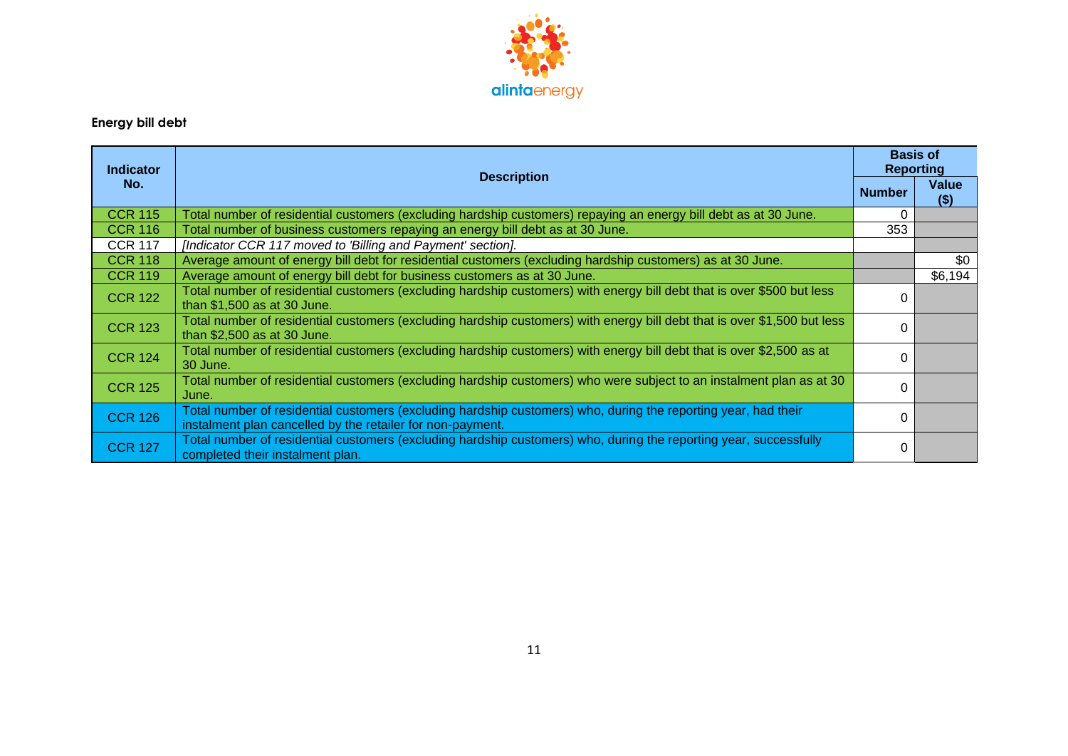

# **Energy bill debt**

| <b>Indicator</b><br>No. | <b>Description</b>                                                                                                                                                           | <b>Basis of</b><br><b>Reporting</b> |                         |
|-------------------------|------------------------------------------------------------------------------------------------------------------------------------------------------------------------------|-------------------------------------|-------------------------|
|                         |                                                                                                                                                                              | <b>Number</b>                       | <b>Value</b><br>$($ \$) |
| <b>CCR 115</b>          | Total number of residential customers (excluding hardship customers) repaying an energy bill debt as at 30 June.                                                             | 0                                   |                         |
| <b>CCR 116</b>          | Total number of business customers repaying an energy bill debt as at 30 June.                                                                                               | 353                                 |                         |
| <b>CCR 117</b>          | [Indicator CCR 117 moved to 'Billing and Payment' section].                                                                                                                  |                                     |                         |
| <b>CCR 118</b>          | Average amount of energy bill debt for residential customers (excluding hardship customers) as at 30 June.                                                                   |                                     | \$0                     |
| <b>CCR 119</b>          | Average amount of energy bill debt for business customers as at 30 June.                                                                                                     |                                     | \$6,194                 |
| <b>CCR 122</b>          | Total number of residential customers (excluding hardship customers) with energy bill debt that is over \$500 but less<br>than \$1,500 as at 30 June.                        | 0                                   |                         |
| <b>CCR 123</b>          | Total number of residential customers (excluding hardship customers) with energy bill debt that is over \$1,500 but less<br>than \$2,500 as at 30 June.                      | 0                                   |                         |
| <b>CCR 124</b>          | Total number of residential customers (excluding hardship customers) with energy bill debt that is over \$2,500 as at<br>30 June.                                            | 0                                   |                         |
| <b>CCR 125</b>          | Total number of residential customers (excluding hardship customers) who were subject to an instalment plan as at 30<br>June.                                                | 0                                   |                         |
| <b>CCR 126</b>          | Total number of residential customers (excluding hardship customers) who, during the reporting year, had their<br>instalment plan cancelled by the retailer for non-payment. | 0                                   |                         |
| <b>CCR 127</b>          | Total number of residential customers (excluding hardship customers) who, during the reporting year, successfully<br>completed their instalment plan.                        | 0                                   |                         |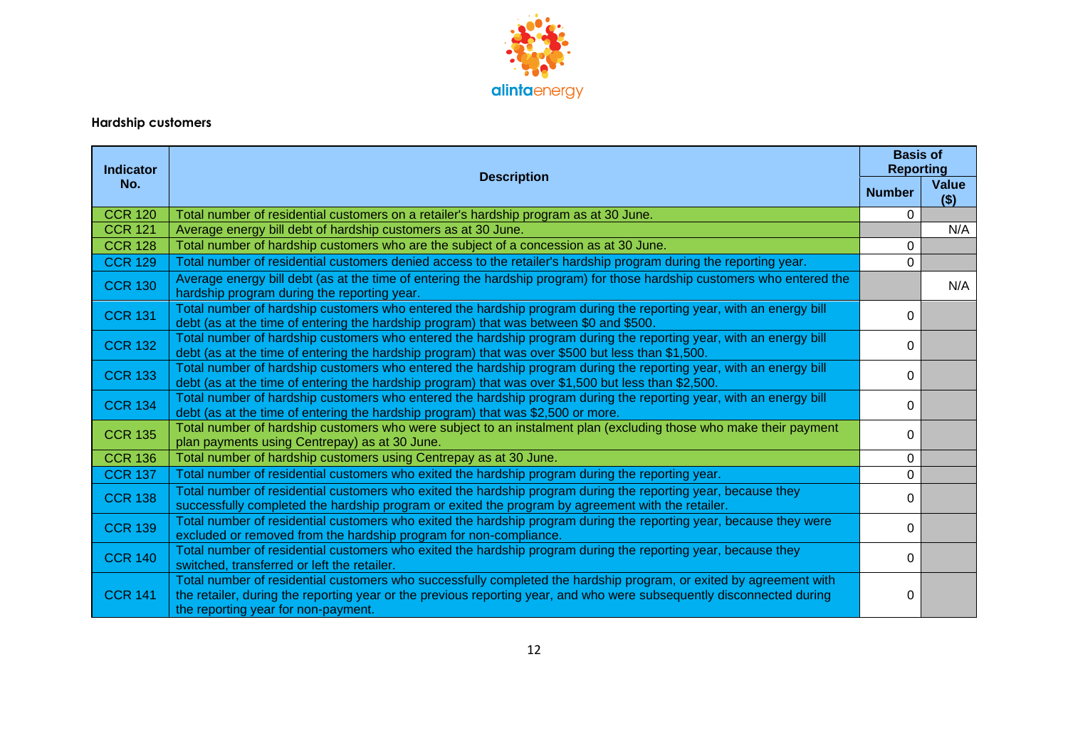

# **Hardship customers**

| <b>Indicator</b> | <b>Description</b>                                                                                                                                                                                                                                                                 | <b>Basis of</b><br><b>Reporting</b> |                  |
|------------------|------------------------------------------------------------------------------------------------------------------------------------------------------------------------------------------------------------------------------------------------------------------------------------|-------------------------------------|------------------|
| No.              |                                                                                                                                                                                                                                                                                    | <b>Number</b>                       | Value<br>$($ \$) |
| <b>CCR 120</b>   | Total number of residential customers on a retailer's hardship program as at 30 June.                                                                                                                                                                                              | 0                                   |                  |
| <b>CCR 121</b>   | Average energy bill debt of hardship customers as at 30 June.                                                                                                                                                                                                                      |                                     | N/A              |
| <b>CCR 128</b>   | Total number of hardship customers who are the subject of a concession as at 30 June.                                                                                                                                                                                              | 0                                   |                  |
| <b>CCR 129</b>   | Total number of residential customers denied access to the retailer's hardship program during the reporting year.                                                                                                                                                                  | $\Omega$                            |                  |
| <b>CCR 130</b>   | Average energy bill debt (as at the time of entering the hardship program) for those hardship customers who entered the<br>hardship program during the reporting year.                                                                                                             |                                     | N/A              |
| <b>CCR 131</b>   | Total number of hardship customers who entered the hardship program during the reporting year, with an energy bill<br>debt (as at the time of entering the hardship program) that was between \$0 and \$500.                                                                       | 0                                   |                  |
| <b>CCR 132</b>   | Total number of hardship customers who entered the hardship program during the reporting year, with an energy bill<br>debt (as at the time of entering the hardship program) that was over \$500 but less than \$1,500.                                                            | 0                                   |                  |
| <b>CCR 133</b>   | Total number of hardship customers who entered the hardship program during the reporting year, with an energy bill<br>debt (as at the time of entering the hardship program) that was over \$1,500 but less than \$2,500.                                                          | 0                                   |                  |
| <b>CCR 134</b>   | Total number of hardship customers who entered the hardship program during the reporting year, with an energy bill<br>debt (as at the time of entering the hardship program) that was \$2,500 or more.                                                                             | 0                                   |                  |
| <b>CCR 135</b>   | Total number of hardship customers who were subject to an instalment plan (excluding those who make their payment<br>plan payments using Centrepay) as at 30 June.                                                                                                                 | 0                                   |                  |
| <b>CCR 136</b>   | Total number of hardship customers using Centrepay as at 30 June.                                                                                                                                                                                                                  | 0                                   |                  |
| <b>CCR 137</b>   | Total number of residential customers who exited the hardship program during the reporting year.                                                                                                                                                                                   | 0                                   |                  |
| <b>CCR 138</b>   | Total number of residential customers who exited the hardship program during the reporting year, because they<br>successfully completed the hardship program or exited the program by agreement with the retailer.                                                                 | 0                                   |                  |
| <b>CCR 139</b>   | Total number of residential customers who exited the hardship program during the reporting year, because they were<br>excluded or removed from the hardship program for non-compliance.                                                                                            | 0                                   |                  |
| <b>CCR 140</b>   | Total number of residential customers who exited the hardship program during the reporting year, because they<br>switched, transferred or left the retailer.                                                                                                                       | 0                                   |                  |
| <b>CCR 141</b>   | Total number of residential customers who successfully completed the hardship program, or exited by agreement with<br>the retailer, during the reporting year or the previous reporting year, and who were subsequently disconnected during<br>the reporting year for non-payment. | 0                                   |                  |